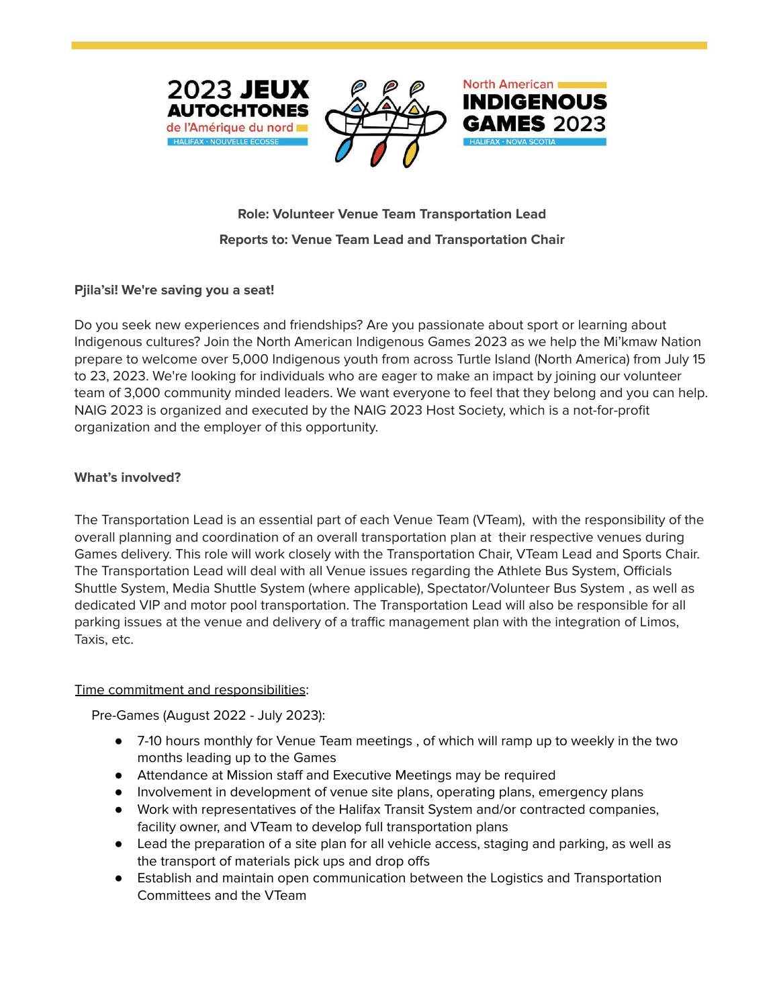



# **INDIGENOUS**

**North American** 

## **Role: Volunteer Venue Team Transportation Lead Reports to: Venue Team Lead and Transportation Chair**

### **Pjila'si! We're saving you a seat!**

Do you seek new experiences and friendships? Are you passionate about sport or learning about Indigenous cultures? Join the North American Indigenous Games 2023 as we help the Mi'kmaw Nation prepare to welcome over 5,000 Indigenous youth from across Turtle Island (North America) from July 15 to 23, 2023. We're looking for individuals who are eager to make an impact by joining our volunteer team of 3,000 community minded leaders. We want everyone to feel that they belong and you can help. NAIG 2023 is organized and executed by the NAIG 2023 Host Society, which is a not-for-profit organization and the employer of this opportunity.

#### **What's involved?**

The Transportation Lead is an essential part of each Venue Team (VTeam), with the responsibility of the overall planning and coordination of an overall transportation plan at their respective venues during Games delivery. This role will work closely with the Transportation Chair, VTeam Lead and Sports Chair. The Transportation Lead will deal with all Venue issues regarding the Athlete Bus System, Officials Shuttle System, Media Shuttle System (where applicable), Spectator/Volunteer Bus System , as well as dedicated VIP and motor pool transportation. The Transportation Lead will also be responsible for all parking issues at the venue and delivery of a traffic management plan with the integration of Limos, Taxis, etc.

#### Time commitment and responsibilities:

Pre-Games (August 2022 - July 2023):

- 7-10 hours monthly for Venue Team meetings , of which will ramp up to weekly in the two months leading up to the Games
- Attendance at Mission staff and Executive Meetings may be required
- Involvement in development of venue site plans, operating plans, emergency plans
- Work with representatives of the Halifax Transit System and/or contracted companies, facility owner, and VTeam to develop full transportation plans
- Lead the preparation of a site plan for all vehicle access, staging and parking, as well as the transport of materials pick ups and drop offs
- Establish and maintain open communication between the Logistics and Transportation Committees and the VTeam